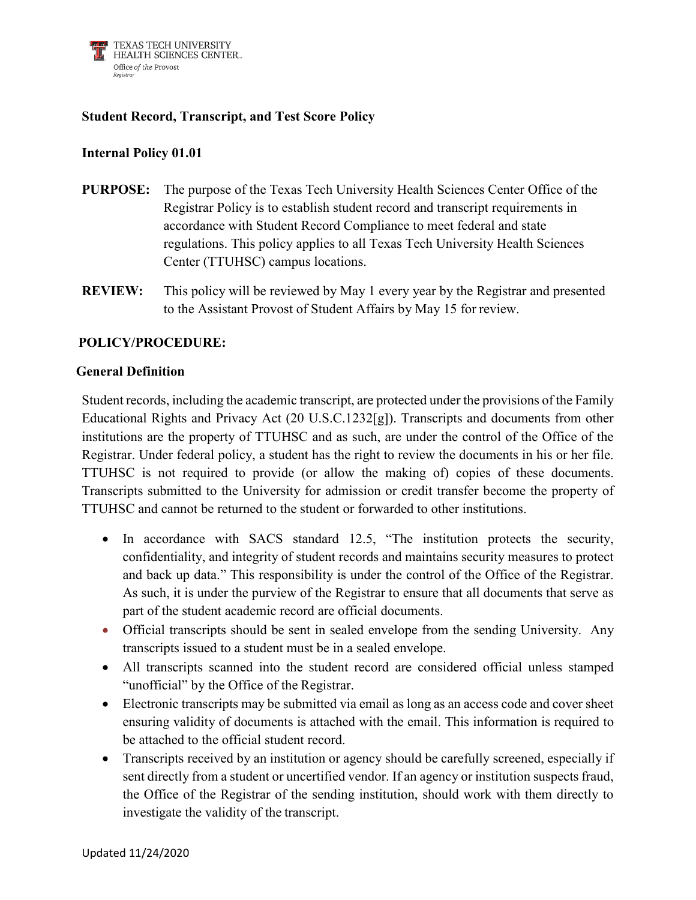

## **Student Record, Transcript, and Test Score Policy**

## **Internal Policy 01.01**

- **PURPOSE:** The purpose of the Texas Tech University Health Sciences Center Office of the Registrar Policy is to establish student record and transcript requirements in accordance with Student Record Compliance to meet federal and state regulations. This policy applies to all Texas Tech University Health Sciences Center (TTUHSC) campus locations.
- **REVIEW:** This policy will be reviewed by May 1 every year by the Registrar and presented to the Assistant Provost of Student Affairs by May 15 for review.

## **POLICY/PROCEDURE:**

#### **General Definition**

Student records, including the academic transcript, are protected under the provisions of the Family Educational Rights and Privacy Act (20 U.S.C.1232[g]). Transcripts and documents from other institutions are the property of TTUHSC and as such, are under the control of the Office of the Registrar. Under federal policy, a student has the right to review the documents in his or her file. TTUHSC is not required to provide (or allow the making of) copies of these documents. Transcripts submitted to the University for admission or credit transfer become the property of TTUHSC and cannot be returned to the student or forwarded to other institutions.

- In accordance with SACS standard 12.5, "The institution protects the security, confidentiality, and integrity of student records and maintains security measures to protect and back up data." This responsibility is under the control of the Office of the Registrar. As such, it is under the purview of the Registrar to ensure that all documents that serve as part of the student academic record are official documents.
- Official transcripts should be sent in sealed envelope from the sending University. Any transcripts issued to a student must be in a sealed envelope.
- All transcripts scanned into the student record are considered official unless stamped "unofficial" by the Office of the Registrar.
- Electronic transcripts may be submitted via email as long as an access code and cover sheet ensuring validity of documents is attached with the email. This information is required to be attached to the official student record.
- Transcripts received by an institution or agency should be carefully screened, especially if sent directly from a student or uncertified vendor. If an agency or institution suspects fraud, the Office of the Registrar of the sending institution, should work with them directly to investigate the validity of the transcript.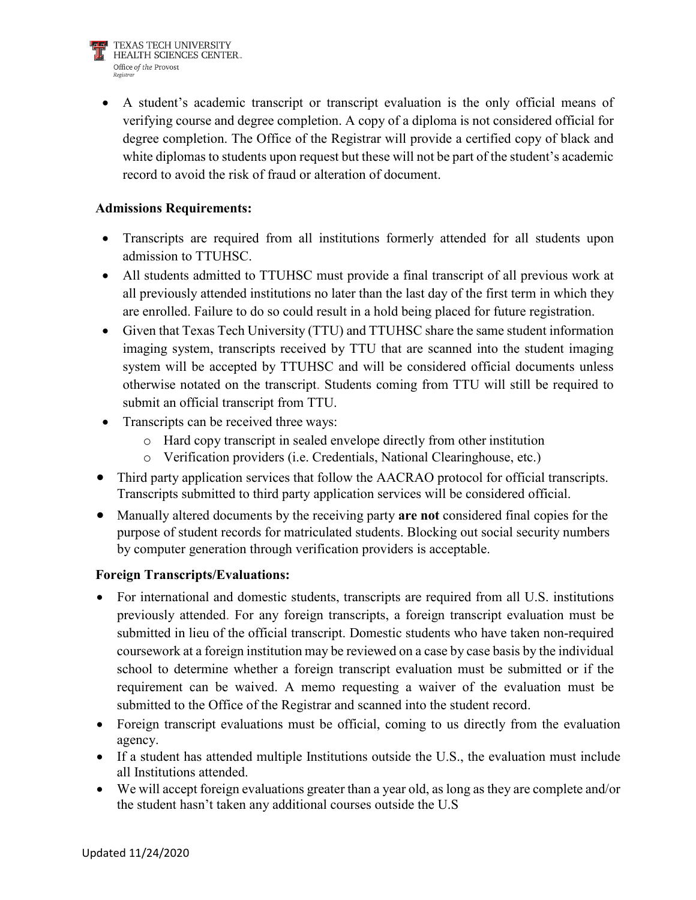• A student's academic transcript or transcript evaluation is the only official means of verifying course and degree completion. A copy of a diploma is not considered official for degree completion. The Office of the Registrar will provide a certified copy of black and white diplomas to students upon request but these will not be part of the student's academic record to avoid the risk of fraud or alteration of document.

## **Admissions Requirements:**

- Transcripts are required from all institutions formerly attended for all students upon admission to TTUHSC.
- All students admitted to TTUHSC must provide a final transcript of all previous work at all previously attended institutions no later than the last day of the first term in which they are enrolled. Failure to do so could result in a hold being placed for future registration.
- Given that Texas Tech University (TTU) and TTUHSC share the same student information imaging system, transcripts received by TTU that are scanned into the student imaging system will be accepted by TTUHSC and will be considered official documents unless otherwise notated on the transcript. Students coming from TTU will still be required to submit an official transcript from TTU.
- Transcripts can be received three ways:
	- o Hard copy transcript in sealed envelope directly from other institution
	- o Verification providers (i.e. Credentials, National Clearinghouse, etc.)
- Third party application services that follow the AACRAO protocol for official transcripts. Transcripts submitted to third party application services will be considered official.
- Manually altered documents by the receiving party **are not** considered final copies for the purpose of student records for matriculated students. Blocking out social security numbers by computer generation through verification providers is acceptable.

# **Foreign Transcripts/Evaluations:**

- For international and domestic students, transcripts are required from all U.S. institutions previously attended. For any foreign transcripts, a foreign transcript evaluation must be submitted in lieu of the official transcript. Domestic students who have taken non-required coursework at a foreign institution may be reviewed on a case by case basis by the individual school to determine whether a foreign transcript evaluation must be submitted or if the requirement can be waived. A memo requesting a waiver of the evaluation must be submitted to the Office of the Registrar and scanned into the student record.
- Foreign transcript evaluations must be official, coming to us directly from the evaluation agency.
- If a student has attended multiple Institutions outside the U.S., the evaluation must include all Institutions attended.
- We will accept foreign evaluations greater than a year old, as long as they are complete and/or the student hasn't taken any additional courses outside the U.S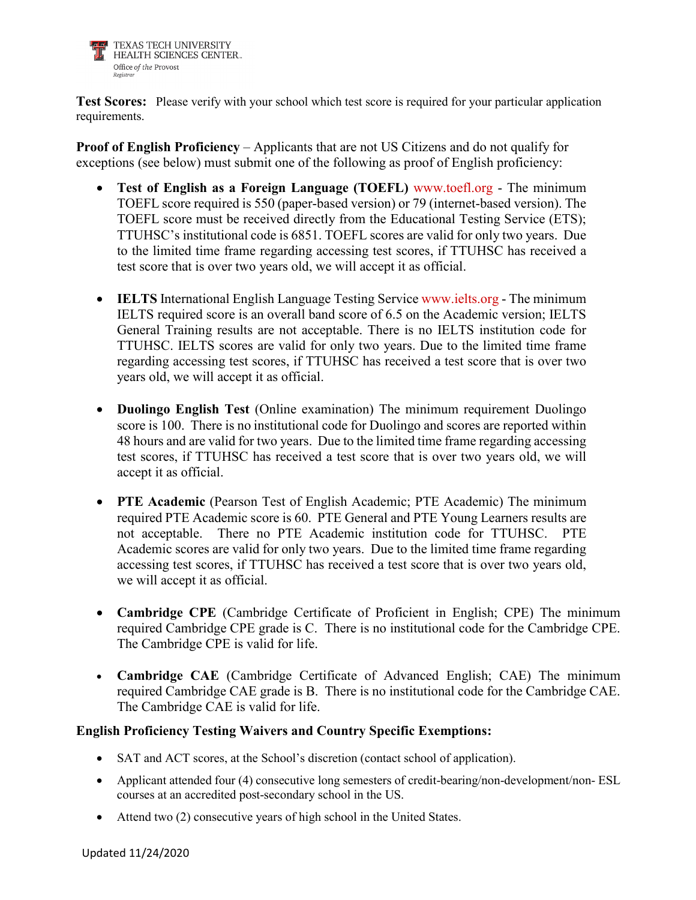

**Test Scores:** Please verify with your school which test score is required for your particular application requirements.

**Proof of English Proficiency** – Applicants that are not US Citizens and do not qualify for exceptions (see below) must submit one of the following as proof of English proficiency:

- **Test of English as a Foreign Language (TOEFL)** [www.toefl.org](http://www.toefl.org/) The minimum TOEFL score required is 550 (paper-based version) or 79 (internet-based version). The TOEFL score must be received directly from the Educational Testing Service (ETS); TTUHSC's institutional code is 6851. TOEFL scores are valid for only two years. Due to the limited time frame regarding accessing test scores, if TTUHSC has received a test score that is over two years old, we will accept it as official.
- **IELTS** International English Language Testing Service [www.ielts.org](http://www.ielts.org/) The minimum IELTS required score is an overall band score of 6.5 on the Academic version; IELTS General Training results are not acceptable. There is no IELTS institution code for TTUHSC. IELTS scores are valid for only two years. Due to the limited time frame regarding accessing test scores, if TTUHSC has received a test score that is over two years old, we will accept it as official.
- **Duolingo English Test** (Online examination) The minimum requirement Duolingo score is 100. There is no institutional code for Duolingo and scores are reported within 48 hours and are valid for two years. Due to the limited time frame regarding accessing test scores, if TTUHSC has received a test score that is over two years old, we will accept it as official.
- **PTE Academic** (Pearson Test of English Academic; PTE Academic) The minimum required PTE Academic score is 60. PTE General and PTE Young Learners results are not acceptable. There no PTE Academic institution code for TTUHSC. PTE Academic scores are valid for only two years. Due to the limited time frame regarding accessing test scores, if TTUHSC has received a test score that is over two years old, we will accept it as official.
- **Cambridge CPE** (Cambridge Certificate of Proficient in English; CPE) The minimum required Cambridge CPE grade is C. There is no institutional code for the Cambridge CPE. The Cambridge CPE is valid for life.
- **Cambridge CAE** (Cambridge Certificate of Advanced English; CAE) The minimum required Cambridge CAE grade is B. There is no institutional code for the Cambridge CAE. The Cambridge CAE is valid for life.

### **English Proficiency Testing Waivers and Country Specific Exemptions:**

- SAT and ACT scores, at the School's discretion (contact school of application).
- Applicant attended four (4) consecutive long semesters of credit-bearing/non-development/non-ESL courses at an accredited post-secondary school in the US.
- Attend two (2) consecutive years of high school in the United States.